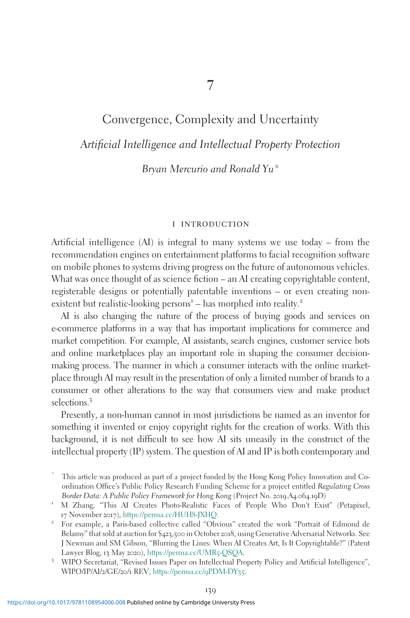# Convergence, Complexity and Uncertainty Artificial Intelligence and Intellectual Property Protection

Bryan Mercurio and Ronald Yu\*

#### i introduction

Artificial intelligence (AI) is integral to many systems we use today – from the recommendation engines on entertainment platforms to facial recognition software on mobile phones to systems driving progress on the future of autonomous vehicles. What was once thought of as science fiction – an AI creating copyrightable content, registerable designs or potentially patentable inventions – or even creating nonexistent but realistic-looking persons<sup>1</sup> – has morphed into reality.<sup>2</sup>

AI is also changing the nature of the process of buying goods and services on e-commerce platforms in a way that has important implications for commerce and market competition. For example, AI assistants, search engines, customer service bots and online marketplaces play an important role in shaping the consumer decisionmaking process. The manner in which a consumer interacts with the online marketplace through AI may result in the presentation of only a limited number of brands to a consumer or other alterations to the way that consumers view and make product selections.<sup>3</sup>

Presently, a non-human cannot in most jurisdictions be named as an inventor for something it invented or enjoy copyright rights for the creation of works. With this background, it is not difficult to see how AI sits uneasily in the construct of the intellectual property (IP) system. The question of AI and IP is both contemporary and

This article was produced as part of a project funded by the Hong Kong Policy Innovation and Coordination Office's Public Policy Research Funding Scheme for a project entitled Regulating Cross<br>Border Data: A Public Policy Framework for Hong Kong (Project No. 2019.A4.064.19D)

<sup>&</sup>lt;sup>1</sup> M Zhang, "This AI Creates Photo-Realistic Faces of People Who Don't Exist" (Petapixel, <sup>17</sup> November <sup>2017</sup>), [https://perma.cc/HUH](https://perma.cc/HUH8-JXHQ)8-JXHQ. <sup>2</sup> For example, a Paris-based collective called "Obvious" created the work "Portrait of Edmond de

Belamy" that sold at auction for \$423,500 in October 2018, using Generative Adversarial Networks. See J Newman and SM Gibson, "Blurring the Lines: When AI Creates Art, Is It Copyrightable?" (Patent Lawyer Blog, <sup>13</sup> May <sup>2020</sup>), [https://perma.cc/UMR](https://perma.cc/UMR5-QSQA)5-QSQA. <sup>3</sup> WIPO Secretariat, "Revised Issues Paper on Intellectual Property Policy and Artificial Intelligence",

WIPO/IP/AI/2/GE/20/1 REV, [https://perma.cc/](https://perma.cc/9PDM-DY35)9PDM-DY35.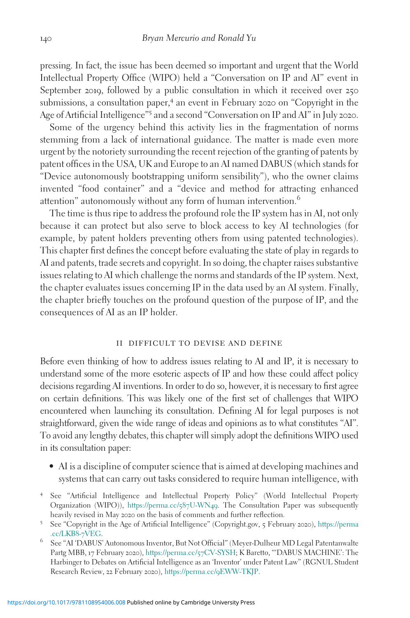pressing. In fact, the issue has been deemed so important and urgent that the World Intellectual Property Office (WIPO) held a "Conversation on IP and AI" event in September 2019, followed by a public consultation in which it received over 250 submissions, a consultation paper,<sup>4</sup> an event in February 2020 on "Copyright in the Age of Artificial Intelligence"<sup>5</sup> and a second "Conversation on IP and AI" in July 2020.

Some of the urgency behind this activity lies in the fragmentation of norms stemming from a lack of international guidance. The matter is made even more urgent by the notoriety surrounding the recent rejection of the granting of patents by patent offices in the USA, UK and Europe to an AI named DABUS (which stands for "Device autonomously bootstrapping uniform sensibility"), who the owner claims invented "food container" and a "device and method for attracting enhanced attention" autonomously without any form of human intervention.<sup>6</sup>

The time is thus ripe to address the profound role the IP system has in AI, not only because it can protect but also serve to block access to key AI technologies (for example, by patent holders preventing others from using patented technologies). This chapter first defines the concept before evaluating the state of play in regards to AI and patents, trade secrets and copyright. In so doing, the chapter raises substantive issues relating to AI which challenge the norms and standards of the IP system. Next, the chapter evaluates issues concerning IP in the data used by an AI system. Finally, the chapter briefly touches on the profound question of the purpose of IP, and the consequences of AI as an IP holder.

#### ii difficult to devise and define

Before even thinking of how to address issues relating to AI and IP, it is necessary to understand some of the more esoteric aspects of IP and how these could affect policy decisions regarding AI inventions. In order to do so, however, it is necessary to first agree on certain definitions. This was likely one of the first set of challenges that WIPO encountered when launching its consultation. Defining AI for legal purposes is not straightforward, given the wide range of ideas and opinions as to what constitutes "AI". To avoid any lengthy debates, this chapter will simply adopt the definitions WIPO used in its consultation paper:

- AI is a discipline of computer science that is aimed at developing machines and systems that can carry out tasks considered to require human intelligence, with
- <sup>4</sup> See "Artificial Intelligence and Intellectual Property Policy" (World Intellectual Property Organization (WIPO)), [https://perma.cc/](https://perma.cc/587U-WN49)587U-WN49. The Consultation Paper was subsequently
- heavily revised in May <sup>2020</sup> on the basis of comments and further reflection. <sup>5</sup> See "Copyright in the Age of Artificial Intelligence" (Copyright.gov, <sup>5</sup> February <sup>2020</sup>), [https://perma](https://perma.cc/LKB8-7VEG)
- $^6$  See "AI 'DABUS' Autonomous Inventor, But Not Official" (Meyer-Dulheur MD Legal Patentanwalte Partg MBB, 17 February 2020), [https://perma.cc/](https://perma.cc/57CV-SYSH)57CV-SYSH; K Baretto, "'DABUS MACHINE': The Harbinger to Debates on Artificial Intelligence as an 'Inventor' under Patent Law" (RGNUL Student Research Review, 22 February 2020), [https://perma.cc/](https://perma.cc/9EWW-TKJP)9EWW-TKJP.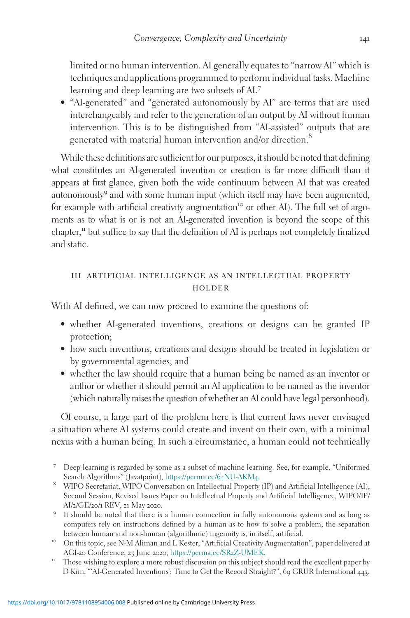limited or no human intervention. AI generally equates to "narrow AI" which is techniques and applications programmed to perform individual tasks. Machine learning and deep learning are two subsets of AI.<sup>7</sup>

• "AI-generated" and "generated autonomously by AI" are terms that are used interchangeably and refer to the generation of an output by AI without human intervention. This is to be distinguished from "AI-assisted" outputs that are generated with material human intervention and/or direction.<sup>8</sup>

While these definitions are sufficient for our purposes, it should be noted that defining what constitutes an AI-generated invention or creation is far more difficult than it appears at first glance, given both the wide continuum between AI that was created autonomously<sup>9</sup> and with some human input (which itself may have been augmented, for example with artificial creativity augmentation<sup>10</sup> or other AI). The full set of arguments as to what is or is not an AI-generated invention is beyond the scope of this chapter,<sup>11</sup> but suffice to say that the definition of AI is perhaps not completely finalized and static.

## iii artificial intelligence as an intellectual property **HOLDER**

With AI defined, we can now proceed to examine the questions of:

- whether AI-generated inventions, creations or designs can be granted IP protection;
- how such inventions, creations and designs should be treated in legislation or by governmental agencies; and
- whether the law should require that a human being be named as an inventor or author or whether it should permit an AI application to be named as the inventor (which naturally raises the question of whether an AI could have legal personhood).

Of course, a large part of the problem here is that current laws never envisaged a situation where AI systems could create and invent on their own, with a minimal nexus with a human being. In such a circumstance, a human could not technically

- Search Algorithms" (Javatpoint), [https://perma.cc/](https://perma.cc/64NU-AKM4)64NU-AKM4. <sup>8</sup> WIPO Secretariat, WIPO Conversation on Intellectual Property (IP) and Artificial Intelligence (AI), Second Session, Revised Issues Paper on Intellectual Property and Artificial Intelligence, WIPO/IP/ AI/2/GE/20/<sup>1</sup> REV, <sup>21</sup> May <sup>2020</sup>. <sup>9</sup> It should be noted that there is a human connection in fully autonomous systems and as long as
- computers rely on instructions defined by a human as to how to solve a problem, the separation between human and non-human (algorithmic) ingenuity is, in itself, artificial.<br><sup>10</sup> On this topic, see N-M Aliman and L Kester, "Artificial Creativity Augmentation", paper delivered at
- AGI-20 Conference, 25 June 2020, [https://perma.cc/SR](https://perma.cc/SR2Z-UMEK)2Z-UMEK.<br><sup>11</sup> Those wishing to explore a more robust discussion on this subject should read the excellent paper by
- D Kim, "'AI-Generated Inventions': Time to Get the Record Straight?", 69 GRUR International 443.

<sup>7</sup> Deep learning is regarded by some as a subset of machine learning. See, for example, "Uniformed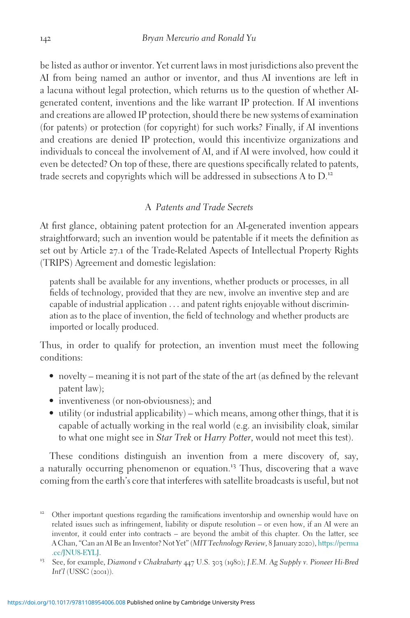be listed as author or inventor. Yet current laws in most jurisdictions also prevent the AI from being named an author or inventor, and thus AI inventions are left in a lacuna without legal protection, which returns us to the question of whether AIgenerated content, inventions and the like warrant IP protection. If AI inventions and creations are allowed IP protection, should there be new systems of examination (for patents) or protection (for copyright) for such works? Finally, if AI inventions and creations are denied IP protection, would this incentivize organizations and individuals to conceal the involvement of AI, and if AI were involved, how could it even be detected? On top of these, there are questions specifically related to patents, trade secrets and copyrights which will be addressed in subsections A to  $D^{12}$ .

### A Patents and Trade Secrets

At first glance, obtaining patent protection for an AI-generated invention appears straightforward; such an invention would be patentable if it meets the definition as set out by Article 27.1 of the Trade-Related Aspects of Intellectual Property Rights (TRIPS) Agreement and domestic legislation:

patents shall be available for any inventions, whether products or processes, in all fields of technology, provided that they are new, involve an inventive step and are capable of industrial application ... and patent rights enjoyable without discrimination as to the place of invention, the field of technology and whether products are imported or locally produced.

Thus, in order to qualify for protection, an invention must meet the following conditions:

- novelty meaning it is not part of the state of the art (as defined by the relevant patent law);
- inventiveness (or non-obviousness); and
- utility (or industrial applicability) which means, among other things, that it is capable of actually working in the real world (e.g. an invisibility cloak, similar to what one might see in Star Trek or Harry Potter, would not meet this test).

These conditions distinguish an invention from a mere discovery of, say, a naturally occurring phenomenon or equation.<sup>13</sup> Thus, discovering that a wave coming from the earth's core that interferes with satellite broadcasts is useful, but not

<sup>&</sup>lt;sup>12</sup> Other important questions regarding the ramifications inventorship and ownership would have on related issues such as infringement, liability or dispute resolution – or even how, if an AI were an inventor, it could enter into contracts – are beyond the ambit of this chapter. On the latter, see A Chan, "Can an AI Be an Inventor? Not Yet" (MIT Technology Review, 8 January 2020), [https://perma](https://perma.cc/JNU8-EYLJ) [.cc/JNU](https://perma.cc/JNU8-EYLJ)8-EYLJ.<br><sup>13</sup> See, for example, Diamond v Chakrabarty 447 U.S. 303 (1980); J.E.M. Ag Supply v. Pioneer Hi-Bred

Int'l (USSC (2001)).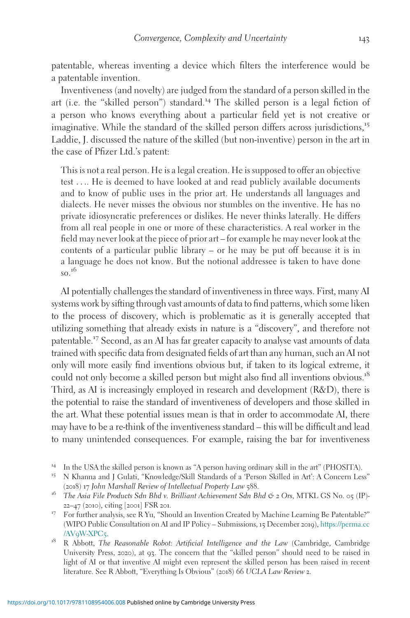patentable, whereas inventing a device which filters the interference would be a patentable invention.

Inventiveness (and novelty) are judged from the standard of a person skilled in the art (i.e. the "skilled person") standard.<sup>14</sup> The skilled person is a legal fiction of a person who knows everything about a particular field yet is not creative or imaginative. While the standard of the skilled person differs across jurisdictions,<sup>15</sup> Laddie, J. discussed the nature of the skilled (but non-inventive) person in the art in the case of Pfizer Ltd.'s patent:

This is not a real person. He is a legal creation. He is supposed to offer an objective test .... He is deemed to have looked at and read publicly available documents and to know of public uses in the prior art. He understands all languages and dialects. He never misses the obvious nor stumbles on the inventive. He has no private idiosyncratic preferences or dislikes. He never thinks laterally. He differs from all real people in one or more of these characteristics. A real worker in the field may never look at the piece of prior art – for example he may never look at the contents of a particular public library – or he may be put off because it is in a language he does not know. But the notional addressee is taken to have done  $\mathrm{SO}^{16}$ 

AI potentially challenges the standard of inventiveness in three ways. First, many AI systems work by sifting through vast amounts of data to find patterns, which some liken to the process of discovery, which is problematic as it is generally accepted that utilizing something that already exists in nature is a "discovery", and therefore not patentable.<sup>17</sup> Second, as an AI has far greater capacity to analyse vast amounts of data trained with specific data from designated fields of art than any human, such an AI not only will more easily find inventions obvious but, if taken to its logical extreme, it could not only become a skilled person but might also find all inventions obvious.<sup>18</sup> Third, as AI is increasingly employed in research and development (R&D), there is the potential to raise the standard of inventiveness of developers and those skilled in the art. What these potential issues mean is that in order to accommodate AI, there may have to be a re-think of the inventiveness standard – this will be difficult and lead to many unintended consequences. For example, raising the bar for inventiveness

<sup>&</sup>lt;sup>14</sup> In the USA the skilled person is known as "A person having ordinary skill in the art" (PHOSITA).<br><sup>15</sup> N Khanna and J Gulati, "Knowledge/Skill Standards of a 'Person Skilled in Art': A Concern Less"

<sup>(2018) 17</sup> John Marshall Review of Intellectual Property Law 588.<br>
<sup>16</sup> The Asia File Products Sdn Bhd v. Brilliant Achievement Sdn Bhd  $\Im$  2 Ors, MTKL GS No. 05 (IP)-

<sup>22</sup>–<sup>47</sup> (2010), citing [2001] FSR <sup>201</sup>. <sup>17</sup> For further analysis, see R Yu, "Should an Invention Created by Machine Learning Be Patentable?" (WIPO Public Consultation on AI and IP Policy – Submissions, 15 December 2019), [https://perma.cc](https://perma.cc/AV9W-XPC5)

<sup>/</sup>AV9[W-XPC](https://perma.cc/AV9W-XPC5)5. <sup>18</sup> R Abbott, The Reasonable Robot: Artificial Intelligence and the Law (Cambridge, Cambridge University Press, 2020), at 93. The concern that the "skilled person" should need to be raised in light of AI or that inventive AI might even represent the skilled person has been raised in recent literature. See R Abbott, "Everything Is Obvious" (2018) 66 UCLA Law Review 2.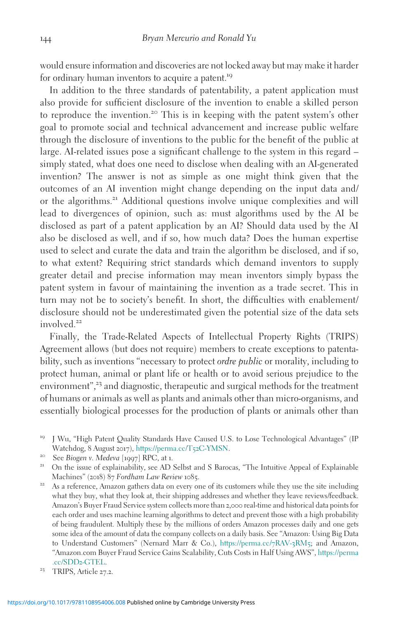would ensure information and discoveries are not locked away but may make it harder for ordinary human inventors to acquire a patent.<sup>19</sup>

In addition to the three standards of patentability, a patent application must also provide for sufficient disclosure of the invention to enable a skilled person to reproduce the invention.<sup>20</sup> This is in keeping with the patent system's other goal to promote social and technical advancement and increase public welfare through the disclosure of inventions to the public for the benefit of the public at large. AI-related issues pose a significant challenge to the system in this regard – simply stated, what does one need to disclose when dealing with an AI-generated invention? The answer is not as simple as one might think given that the outcomes of an AI invention might change depending on the input data and/ or the algorithms.<sup>21</sup> Additional questions involve unique complexities and will lead to divergences of opinion, such as: must algorithms used by the AI be disclosed as part of a patent application by an AI? Should data used by the AI also be disclosed as well, and if so, how much data? Does the human expertise used to select and curate the data and train the algorithm be disclosed, and if so, to what extent? Requiring strict standards which demand inventors to supply greater detail and precise information may mean inventors simply bypass the patent system in favour of maintaining the invention as a trade secret. This in turn may not be to society's benefit. In short, the difficulties with enablement/ disclosure should not be underestimated given the potential size of the data sets involved.<sup>22</sup>

Finally, the Trade-Related Aspects of Intellectual Property Rights (TRIPS) Agreement allows (but does not require) members to create exceptions to patentability, such as inventions "necessary to protect ordre public or morality, including to protect human, animal or plant life or health or to avoid serious prejudice to the environment",<sup>23</sup> and diagnostic, therapeutic and surgical methods for the treatment of humans or animals as well as plants and animals other than micro-organisms, and essentially biological processes for the production of plants or animals other than

<sup>&</sup>lt;sup>19</sup> J Wu, "High Patent Quality Standards Have Caused U.S. to Lose Technological Advantages" (IP Watchdog, 8 August 2017), https://perma.cc/T52C-YMSN.

<sup>&</sup>lt;sup>20</sup> See Biogen v. Medeva  $\left[1997\right]$  RPC, at 1.<br><sup>21</sup> On the issue of explainability, see AD Selbst and S Barocas, "The Intuitive Appeal of Explainable Machines" (2018) 87 Fordham Law Review 1085.<br><sup>22</sup> As a reference, Amazon gathers data on every one of its customers while they use the site including

what they buy, what they look at, their shipping addresses and whether they leave reviews/feedback. Amazon's Buyer Fraud Service system collects more than 2,000 real-time and historical data points for each order and uses machine learning algorithms to detect and prevent those with a high probability of being fraudulent. Multiply these by the millions of orders Amazon processes daily and one gets some idea of the amount of data the company collects on a daily basis. See "Amazon: Using Big Data to Understand Customers" (Nernard Marr & Co.), [https://perma.cc/](https://perma.cc/7RAV-3RM5)7RAV-3RM5; and Amazon, "Amazon.com Buyer Fraud Service Gains Scalability, Cuts Costs in Half Using AWS", [https://perma](https://perma.cc/SDD2-GTEL) [.cc/SDD](https://perma.cc/SDD2-GTEL)2-GTEL. <sup>23</sup> TRIPS, Article <sup>27</sup>.2.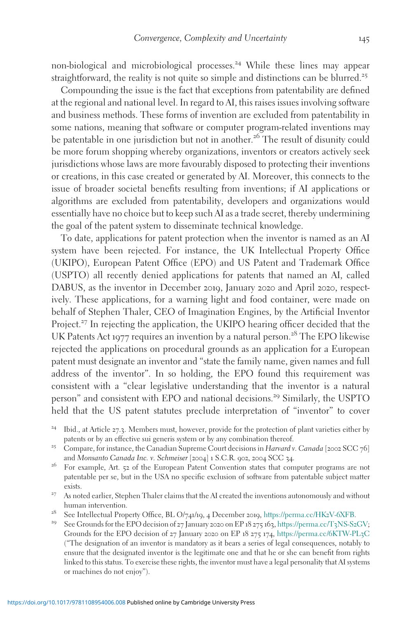non-biological and microbiological processes.<sup>24</sup> While these lines may appear straightforward, the reality is not quite so simple and distinctions can be blurred.<sup>25</sup>

Compounding the issue is the fact that exceptions from patentability are defined at the regional and national level. In regard to AI, this raises issues involving software and business methods. These forms of invention are excluded from patentability in some nations, meaning that software or computer program-related inventions may be patentable in one jurisdiction but not in another.<sup>26</sup> The result of disunity could be more forum shopping whereby organizations, inventors or creators actively seek jurisdictions whose laws are more favourably disposed to protecting their inventions or creations, in this case created or generated by AI. Moreover, this connects to the issue of broader societal benefits resulting from inventions; if AI applications or algorithms are excluded from patentability, developers and organizations would essentially have no choice but to keep such AI as a trade secret, thereby undermining the goal of the patent system to disseminate technical knowledge.

To date, applications for patent protection when the inventor is named as an AI system have been rejected. For instance, the UK Intellectual Property Office (UKIPO), European Patent Office (EPO) and US Patent and Trademark Office (USPTO) all recently denied applications for patents that named an AI, called DABUS, as the inventor in December 2019, January 2020 and April 2020, respectively. These applications, for a warning light and food container, were made on behalf of Stephen Thaler, CEO of Imagination Engines, by the Artificial Inventor Project.<sup>27</sup> In rejecting the application, the UKIPO hearing officer decided that the UK Patents Act 1977 requires an invention by a natural person.<sup>28</sup> The EPO likewise rejected the applications on procedural grounds as an application for a European patent must designate an inventor and "state the family name, given names and full address of the inventor". In so holding, the EPO found this requirement was consistent with a "clear legislative understanding that the inventor is a natural person" and consistent with EPO and national decisions.<sup>29</sup> Similarly, the USPTO held that the US patent statutes preclude interpretation of "inventor" to cover

- <sup>24</sup> Ibid., at Article <sup>27</sup>.3. Members must, however, provide for the protection of plant varieties either by
- patents or by an effective sui generis system or by any combination thereof.<br>25 Compare, for instance, the Canadian Supreme Court decisions in Harvard v. Canada [2002 SCC 76]<br>2011 S.C.R. 902, 2004 SCC 34.
- <sup>26</sup> For example, Art. 52 of the European Patent Convention states that computer programs are not patentable per se, but in the USA no specific exclusion of software from patentable subject matter exists. <sup>27</sup> As noted earlier, Stephen Thaler claims that the AI created the inventions autonomously and without
- human intervention.<br><sup>28</sup> See Intellectual Property Office, BL O/741/19, 4 December 2019, [https://perma.cc/HK](https://perma.cc/HK2V-6XFB)2V-6XFB.<br><sup>29</sup> See Grounds for the EPO decision of 27 January 2020 on EP 18 275 163, [https://perma.cc/T](https://perma.cc/T3NS-S2GV)3NS-S2GV;
- 
- Grounds for the EPO decision of 27 January 2020 on EP 18 275 174, [https://perma.cc/](https://perma.cc/6KTW-PL3C)6KTW-PL3C ("The designation of an inventor is mandatory as it bears a series of legal consequences, notably to ensure that the designated inventor is the legitimate one and that he or she can benefit from rights linked to this status. To exercise these rights, the inventor must have a legal personality that AI systems or machines do not enjoy").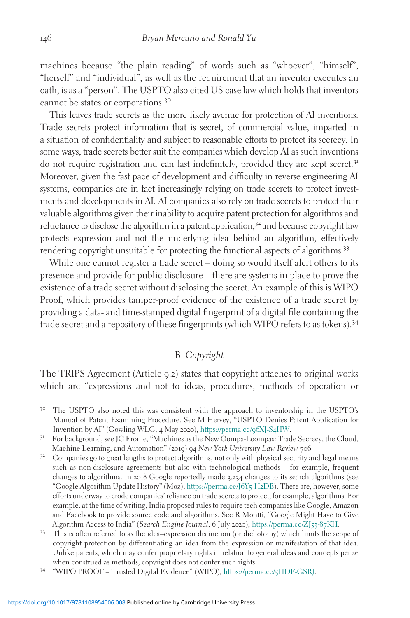machines because "the plain reading" of words such as "whoever", "himself", "herself" and "individual", as well as the requirement that an inventor executes an oath, is as a "person". The USPTO also cited US case law which holds that inventors cannot be states or corporations.<sup>30</sup>

This leaves trade secrets as the more likely avenue for protection of AI inventions. Trade secrets protect information that is secret, of commercial value, imparted in a situation of confidentiality and subject to reasonable efforts to protect its secrecy. In some ways, trade secrets better suit the companies which develop AI as such inventions do not require registration and can last indefinitely, provided they are kept secret.<sup>31</sup> Moreover, given the fast pace of development and difficulty in reverse engineering AI systems, companies are in fact increasingly relying on trade secrets to protect investments and developments in AI. AI companies also rely on trade secrets to protect their valuable algorithms given their inability to acquire patent protection for algorithms and reluctance to disclose the algorithm in a patent application, $3<sup>2</sup>$  and because copyright law protects expression and not the underlying idea behind an algorithm, effectively rendering copyright unsuitable for protecting the functional aspects of algorithms.<sup>33</sup>

While one cannot register a trade secret – doing so would itself alert others to its presence and provide for public disclosure – there are systems in place to prove the existence of a trade secret without disclosing the secret. An example of this is WIPO Proof, which provides tamper-proof evidence of the existence of a trade secret by providing a data- and time-stamped digital fingerprint of a digital file containing the trade secret and a repository of these fingerprints (which WIPO refers to as tokens).<sup>34</sup>

## B Copyright

The TRIPS Agreement (Article 9.2) states that copyright attaches to original works which are "expressions and not to ideas, procedures, methods of operation or

- <sup>30</sup> The USPTO also noted this was consistent with the approach to inventorship in the USPTO's Manual of Patent Examining Procedure. See M Hervey, "USPTO Denies Patent Application for Invention by AI" (Gowling WLG, 4 May 2020), https://perma.cc/96XJ-S4HW.
- <sup>31</sup> For background, see JC Frome, "Machines as the New Oompa-Loompas: Trade Secrecy, the Cloud, Machine Learning, and Automation" (2019) 94 New York University Law Review 706.<br><sup>32</sup> Companies go to great lengths to protect algorithms, not only with physical security and legal means
- such as non-disclosure agreements but also with technological methods for example, frequent changes to algorithms. In 2018 Google reportedly made 3,234 changes to its search algorithms (see "Google Algorithm Update History" (Moz), [https://perma.cc/J](https://perma.cc/J6Y5-H2DB)6Y5-H2DB). There are, however, some efforts underway to erode companies' reliance on trade secrets to protect, for example, algorithms. For example, at the time of writing, India proposed rules to require tech companies like Google, Amazon and Facebook to provide source code and algorithms. See R Montti, "Google Might Have to Give Algorithm Access to India" (Search Engine Journal, 6 July 2020), [https://perma.cc/ZJ](https://perma.cc/ZJ53-87KH)53-87KH.<br><sup>33</sup> This is often referred to as the idea–expression distinction (or dichotomy) which limits the scope of
- copyright protection by differentiating an idea from the expression or manifestation of that idea. Unlike patents, which may confer proprietary rights in relation to general ideas and concepts per se when construed as methods, copyright does not confer such rights.<br><sup>34</sup> "WIPO PROOF – Trusted Digital Evidence" (WIPO), [https://perma.cc/](https://perma.cc/5HDF-GSRJ)5HDF-GSRJ.
-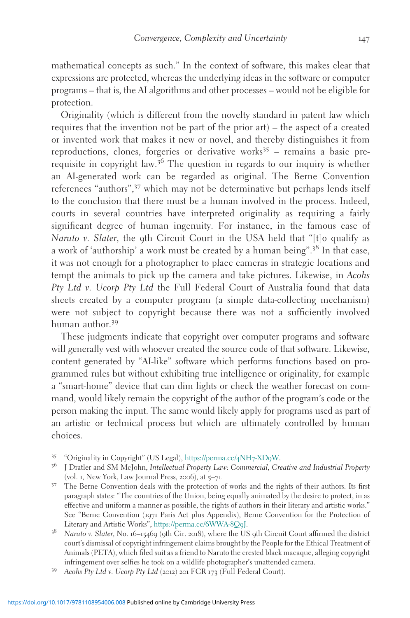mathematical concepts as such." In the context of software, this makes clear that expressions are protected, whereas the underlying ideas in the software or computer programs – that is, the AI algorithms and other processes – would not be eligible for protection.

Originality (which is different from the novelty standard in patent law which requires that the invention not be part of the prior art) – the aspect of a created or invented work that makes it new or novel, and thereby distinguishes it from reproductions, clones, forgeries or derivative works $35$  – remains a basic prerequisite in copyright law.<sup>36</sup> The question in regards to our inquiry is whether an AI-generated work can be regarded as original. The Berne Convention references "authors",<sup>37</sup> which may not be determinative but perhaps lends itself to the conclusion that there must be a human involved in the process. Indeed, courts in several countries have interpreted originality as requiring a fairly significant degree of human ingenuity. For instance, in the famous case of Naruto v. Slater, the 9th Circuit Court in the USA held that " $[t]$ o qualify as a work of 'authorship' a work must be created by a human being".<sup>38</sup> In that case, it was not enough for a photographer to place cameras in strategic locations and tempt the animals to pick up the camera and take pictures. Likewise, in Acohs Pty Ltd v. Ucorp Pty Ltd the Full Federal Court of Australia found that data sheets created by a computer program (a simple data-collecting mechanism) were not subject to copyright because there was not a sufficiently involved human author.<sup>39</sup>

These judgments indicate that copyright over computer programs and software will generally vest with whoever created the source code of that software. Likewise, content generated by "AI-like" software which performs functions based on programmed rules but without exhibiting true intelligence or originality, for example a "smart-home" device that can dim lights or check the weather forecast on command, would likely remain the copyright of the author of the program's code or the person making the input. The same would likely apply for programs used as part of an artistic or technical process but which are ultimately controlled by human choices.

- 
- <sup>35</sup> "Originality in Copyright" (US Legal), [https://perma.cc/](https://perma.cc/4NH7-XD9W)4NH7-XD9W.<br><sup>36</sup> J Dratler and SM McJohn, *Intellectual Property Law: Commercial, Creative and Industrial Property*
- (vol. <sup>1</sup>, New York, Law Journal Press, <sup>2006</sup>), at <sup>5</sup>–71. <sup>37</sup> The Berne Convention deals with the protection of works and the rights of their authors. Its first paragraph states: "The countries of the Union, being equally animated by the desire to protect, in as effective and uniform a manner as possible, the rights of authors in their literary and artistic works." See "Berne Convention (1971 Paris Act plus Appendix), Berne Convention for the Protection of Literary and Artistic Works", [https://perma.cc/](https://perma.cc/6WWA-8Q9J)6WWA-8Q9J.<br><sup>38</sup> Naruto v. Slater, No. 16–15469 (9th Cir. 2018), where the US 9th Circuit Court affirmed the district
- court's dismissal of copyright infringement claims brought by the People for the Ethical Treatment of Animals (PETA), which filed suit as a friend to Naruto the crested black macaque, alleging copyright infringement over selfies he took on a wildlife photographer's unattended camera. <sup>39</sup> Acohs Pty Ltd v. Ucorp Pty Ltd (2012) <sup>201</sup> FCR <sup>173</sup> (Full Federal Court).
-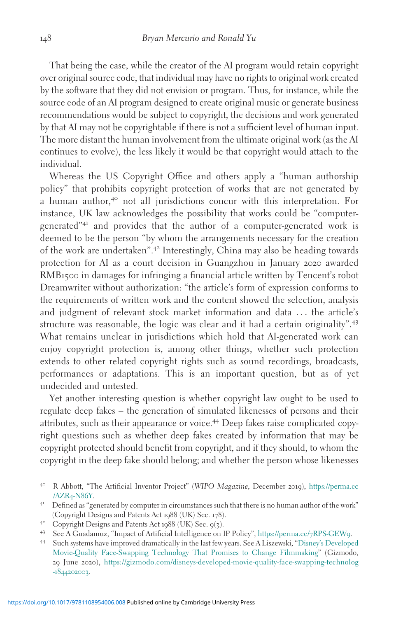That being the case, while the creator of the AI program would retain copyright over original source code, that individual may have no rights to original work created by the software that they did not envision or program. Thus, for instance, while the source code of an AI program designed to create original music or generate business recommendations would be subject to copyright, the decisions and work generated by that AI may not be copyrightable if there is not a sufficient level of human input. The more distant the human involvement from the ultimate original work (as the AI continues to evolve), the less likely it would be that copyright would attach to the individual.

Whereas the US Copyright Office and others apply a "human authorship policy" that prohibits copyright protection of works that are not generated by a human author, $4^{\circ}$  not all jurisdictions concur with this interpretation. For instance, UK law acknowledges the possibility that works could be "computergenerated"<sup>41</sup> and provides that the author of a computer-generated work is deemed to be the person "by whom the arrangements necessary for the creation of the work are undertaken".<sup>42</sup> Interestingly, China may also be heading towards protection for AI as a court decision in Guangzhou in January 2020 awarded RMB1500 in damages for infringing a financial article written by Tencent's robot Dreamwriter without authorization: "the article's form of expression conforms to the requirements of written work and the content showed the selection, analysis and judgment of relevant stock market information and data ... the article's structure was reasonable, the logic was clear and it had a certain originality".<sup>43</sup> What remains unclear in jurisdictions which hold that AI-generated work can enjoy copyright protection is, among other things, whether such protection extends to other related copyright rights such as sound recordings, broadcasts, performances or adaptations. This is an important question, but as of yet undecided and untested.

Yet another interesting question is whether copyright law ought to be used to regulate deep fakes – the generation of simulated likenesses of persons and their attributes, such as their appearance or voice.<sup>44</sup> Deep fakes raise complicated copyright questions such as whether deep fakes created by information that may be copyright protected should benefit from copyright, and if they should, to whom the copyright in the deep fake should belong; and whether the person whose likenesses

- <sup>40</sup> R Abbott, "The Artificial Inventor Project" (WIPO Magazine, December <sup>2019</sup>), [https://perma.cc](https://perma.cc/AZR4-N86Y)
- <sup>41</sup> Defined as "generated by computer in circumstances such that there is no human author of the work" (Copyright Designs and Patents Act 1988 (UK) Sec. 178).<br>  $\begin{array}{ll}\n\text{4.4} & \text{4.5} \\
\text{5.6.5} & \text{6.6} \\
\text{6.7} & \text{7.7} \\
\text{7.8} & \text{8.7} \\
\text{8.9} & \text{9.8} \\
\text{9.1} & \text{10.8} \\
\text{11.9} & \text{11.9} \\
\text{12.1} & \text{12.1} \\
\text{1$
- 
- 
- [Movie-Quality Face-Swapping Technology That Promises to Change Filmmaking](https://gizmodo.com/disneys-developed-movie-quality-face-swapping-technolog-1844202003)" (Gizmodo, 29 June 2020), [https://gizmodo.com/disneys-developed-movie-quality-face-swapping-technolog](https://gizmodo.com/disneys-developed-movie-quality-face-swapping-technolog-1844202003) -[1844202003](https://gizmodo.com/disneys-developed-movie-quality-face-swapping-technolog-1844202003).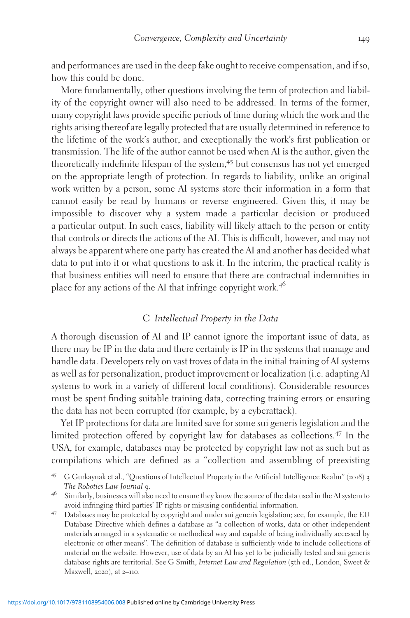and performances are used in the deep fake ought to receive compensation, and if so, how this could be done.

More fundamentally, other questions involving the term of protection and liability of the copyright owner will also need to be addressed. In terms of the former, many copyright laws provide specific periods of time during which the work and the rights arising thereof are legally protected that are usually determined in reference to the lifetime of the work's author, and exceptionally the work's first publication or transmission. The life of the author cannot be used when AI is the author, given the theoretically indefinite lifespan of the system,<sup>45</sup> but consensus has not yet emerged on the appropriate length of protection. In regards to liability, unlike an original work written by a person, some AI systems store their information in a form that cannot easily be read by humans or reverse engineered. Given this, it may be impossible to discover why a system made a particular decision or produced a particular output. In such cases, liability will likely attach to the person or entity that controls or directs the actions of the AI. This is difficult, however, and may not always be apparent where one party has created the AI and another has decided what data to put into it or what questions to ask it. In the interim, the practical reality is that business entities will need to ensure that there are contractual indemnities in place for any actions of the AI that infringe copyright work.<sup>46</sup>

#### C Intellectual Property in the Data

A thorough discussion of AI and IP cannot ignore the important issue of data, as there may be IP in the data and there certainly is IP in the systems that manage and handle data. Developers rely on vast troves of data in the initial training of AI systems as well as for personalization, product improvement or localization (i.e. adapting AI systems to work in a variety of different local conditions). Considerable resources must be spent finding suitable training data, correcting training errors or ensuring the data has not been corrupted (for example, by a cyberattack).

Yet IP protections for data are limited save for some sui generis legislation and the limited protection offered by copyright law for databases as collections.<sup>47</sup> In the USA, for example, databases may be protected by copyright law not as such but as compilations which are defined as a "collection and assembling of preexisting

<sup>45</sup> G Gurkaynak et al., "Questions of Intellectual Property in the Artificial Intelligence Realm" (2018) <sup>3</sup> The Robotics Law Journal 9.<br><sup>46</sup> Similarly, businesses will also need to ensure they know the source of the data used in the AI system to

avoid infringing third parties' IP rights or misusing confidential information. <sup>47</sup> Databases may be protected by copyright and under sui generis legislation; see, for example, the EU

Database Directive which defines a database as "a collection of works, data or other independent materials arranged in a systematic or methodical way and capable of being individually accessed by electronic or other means". The definition of database is sufficiently wide to include collections of material on the website. However, use of data by an AI has yet to be judicially tested and sui generis database rights are territorial. See G Smith, Internet Law and Regulation (5th ed., London, Sweet & Maxwell, 2020), at 2–110.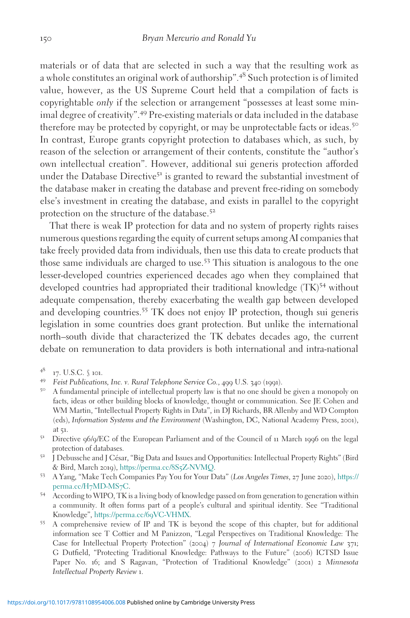materials or of data that are selected in such a way that the resulting work as a whole constitutes an original work of authorship".<sup>48</sup> Such protection is of limited value, however, as the US Supreme Court held that a compilation of facts is copyrightable only if the selection or arrangement "possesses at least some minimal degree of creativity".<sup>49</sup> Pre-existing materials or data included in the database therefore may be protected by copyright, or may be unprotectable facts or ideas.<sup>50</sup> In contrast, Europe grants copyright protection to databases which, as such, by reason of the selection or arrangement of their contents, constitute the "author's own intellectual creation". However, additional sui generis protection afforded under the Database Directive<sup>51</sup> is granted to reward the substantial investment of the database maker in creating the database and prevent free-riding on somebody else's investment in creating the database, and exists in parallel to the copyright protection on the structure of the database.<sup>52</sup>

That there is weak IP protection for data and no system of property rights raises numerous questions regarding the equity of current setups among AI companies that take freely provided data from individuals, then use this data to create products that those same individuals are charged to use.<sup>53</sup> This situation is analogous to the one lesser-developed countries experienced decades ago when they complained that developed countries had appropriated their traditional knowledge (TK)<sup>54</sup> without adequate compensation, thereby exacerbating the wealth gap between developed and developing countries.<sup>55</sup> TK does not enjoy IP protection, though sui generis legislation in some countries does grant protection. But unlike the international north–south divide that characterized the TK debates decades ago, the current debate on remuneration to data providers is both international and intra-national

- 
- <sup>48</sup> 17. U.S.C. § 101.<br><sup>49</sup> Feist Publications, Inc. v. Rural Telephone Service Co., 499 U.S. 340 (1991).<br><sup>50</sup> A fundamental principle of intellectual property law is that no one should be given a monopoly on facts, ideas or other building blocks of knowledge, thought or communication. See JE Cohen and WM Martin, "Intellectual Property Rights in Data", in DJ Richards, BR Allenby and WD Compton (eds), Information Systems and the Environment (Washington, DC, National Academy Press, 2001), at <sup>51</sup>. <sup>51</sup> Directive <sup>96</sup>/9/EC of the European Parliament and of the Council of <sup>11</sup> March <sup>1996</sup> on the legal
- 
- protection of databases. 52 J Debussche and J César, "Big Data and Issues and Opportunities: Intellectual Property Rights" (Bird & Bird, March <sup>2019</sup>), [https://perma.cc/](https://perma.cc/8S5Z-NVMQ)8S5Z-NVMQ. <sup>53</sup> A Yang, "Make Tech Companies Pay You for Your Data" (Los Angeles Times, <sup>27</sup> June <sup>2020</sup>), [https://](https://perma.cc/H7MD-MS7C)
- [perma.cc/H](https://perma.cc/H7MD-MS7C)7MD-MS7C. <sup>54</sup> According to WIPO, TK is a living body of knowledge passed on from generation to generation within
- a community. It often forms part of a people's cultural and spiritual identity. See "Traditional
- 55 A comprehensive review of IP and TK is beyond the scope of this chapter, but for additional information see T Cottier and M Panizzon, "Legal Perspectives on Traditional Knowledge: The Case for Intellectual Property Protection" (2004) 7 Journal of International Economic Law 371; G Dutfield, "Protecting Traditional Knowledge: Pathways to the Future" (2006) ICTSD Issue Paper No. 16; and S Ragavan, "Protection of Traditional Knowledge" (2001) 2 Minnesota Intellectual Property Review 1.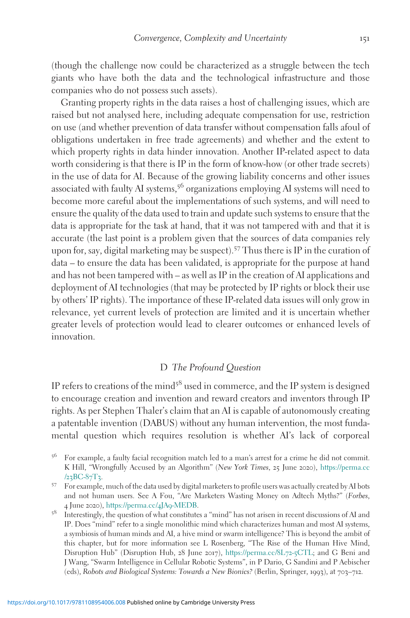(though the challenge now could be characterized as a struggle between the tech giants who have both the data and the technological infrastructure and those companies who do not possess such assets).

Granting property rights in the data raises a host of challenging issues, which are raised but not analysed here, including adequate compensation for use, restriction on use (and whether prevention of data transfer without compensation falls afoul of obligations undertaken in free trade agreements) and whether and the extent to which property rights in data hinder innovation. Another IP-related aspect to data worth considering is that there is IP in the form of know-how (or other trade secrets) in the use of data for AI. Because of the growing liability concerns and other issues associated with faulty AI systems,<sup>56</sup> organizations employing AI systems will need to become more careful about the implementations of such systems, and will need to ensure the quality of the data used to train and update such systems to ensure that the data is appropriate for the task at hand, that it was not tampered with and that it is accurate (the last point is a problem given that the sources of data companies rely upon for, say, digital marketing may be suspect).<sup>57</sup> Thus there is IP in the curation of data – to ensure the data has been validated, is appropriate for the purpose at hand and has not been tampered with – as well as IP in the creation of AI applications and deployment of AI technologies (that may be protected by IP rights or block their use by others' IP rights). The importance of these IP-related data issues will only grow in relevance, yet current levels of protection are limited and it is uncertain whether greater levels of protection would lead to clearer outcomes or enhanced levels of innovation.

## D The Profound Question

IP refers to creations of the mind<sup>58</sup> used in commerce, and the IP system is designed to encourage creation and invention and reward creators and inventors through IP rights. As per Stephen Thaler's claim that an AI is capable of autonomously creating a patentable invention (DABUS) without any human intervention, the most fundamental question which requires resolution is whether AI's lack of corporeal

<sup>56</sup> For example, a faulty facial recognition match led to a man's arrest for a crime he did not commit. K Hill, "Wrongfully Accused by an Algorithm" (New York Times, 25 June 2020), [https://perma.cc](https://perma.cc/23BC-87T3)  $/23BC-87T3$  $/23BC-87T3$  $/23BC-87T3$ .<br><sup>57</sup> For example, much of the data used by digital marketers to profile users was actually created by AI bots

and not human users. See A Fou, "Are Marketers Wasting Money on Adtech Myths?" (Forbes, 4 June 2020), [https://perma.cc/](https://perma.cc/4JA9-MEDB)4JA9-MEDB.<br>
<sup>58</sup> Interestingly, the question of what constitutes a "mind" has not arisen in recent discussions of AI and

IP. Does "mind" refer to a single monolithic mind which characterizes human and most AI systems, a symbiosis of human minds and AI, a hive mind or swarm intelligence? This is beyond the ambit of this chapter, but for more information see L Rosenberg, "The Rise of the Human Hive Mind, Disruption Hub" (Disruption Hub, 28 June 2017), [https://perma.cc/](https://perma.cc/8L72-5CTL)8L72-5CTL; and G Beni and J Wang, "Swarm Intelligence in Cellular Robotic Systems", in P Dario, G Sandini and P Aebischer (eds), Robots and Biological Systems: Towards a New Bionics? (Berlin, Springer, 1993), at 703–712.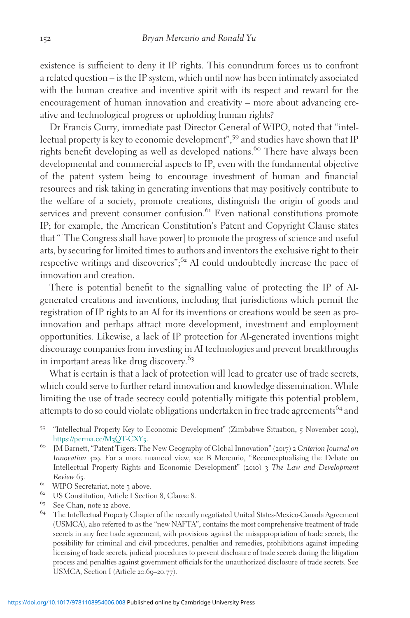existence is sufficient to deny it IP rights. This conundrum forces us to confront a related question – is the IP system, which until now has been intimately associated with the human creative and inventive spirit with its respect and reward for the encouragement of human innovation and creativity – more about advancing creative and technological progress or upholding human rights?

Dr Francis Gurry, immediate past Director General of WIPO, noted that "intellectual property is key to economic development",<sup>59</sup> and studies have shown that IP rights benefit developing as well as developed nations.<sup>60</sup> There have always been developmental and commercial aspects to IP, even with the fundamental objective of the patent system being to encourage investment of human and financial resources and risk taking in generating inventions that may positively contribute to the welfare of a society, promote creations, distinguish the origin of goods and services and prevent consumer confusion.<sup>61</sup> Even national constitutions promote IP; for example, the American Constitution's Patent and Copyright Clause states that "[The Congress shall have power] to promote the progress of science and useful arts, by securing for limited times to authors and inventors the exclusive right to their respective writings and discoveries";<sup>62</sup> AI could undoubtedly increase the pace of innovation and creation.

There is potential benefit to the signalling value of protecting the IP of AIgenerated creations and inventions, including that jurisdictions which permit the registration of IP rights to an AI for its inventions or creations would be seen as proinnovation and perhaps attract more development, investment and employment opportunities. Likewise, a lack of IP protection for AI-generated inventions might discourage companies from investing in AI technologies and prevent breakthroughs in important areas like drug discovery.<sup>63</sup>

What is certain is that a lack of protection will lead to greater use of trade secrets, which could serve to further retard innovation and knowledge dissemination. While limiting the use of trade secrecy could potentially mitigate this potential problem, attempts to do so could violate obligations undertaken in free trade agreements<sup>64</sup> and

- 
- Review 65.<br><sup>61</sup> WIPO Secretariat, note 3 above.<br><sup>62</sup> US Constitution, Article I Section 8, Clause 8.<br><sup>63</sup> See Chan, note 12 above.
- 
- <sup>64</sup> The Intellectual Property Chapter of the recently negotiated United States-Mexico-Canada Agreement (USMCA), also referred to as the "new NAFTA", contains the most comprehensive treatment of trade secrets in any free trade agreement, with provisions against the misappropriation of trade secrets, the possibility for criminal and civil procedures, penalties and remedies, prohibitions against impeding licensing of trade secrets, judicial procedures to prevent disclosure of trade secrets during the litigation process and penalties against government officials for the unauthorized disclosure of trade secrets. See USMCA, Section I (Article 20.69–20.77).

<sup>59</sup> "Intellectual Property Key to Economic Development" (Zimbabwe Situation, <sup>5</sup> November <sup>2019</sup>), [https://perma.cc/M](https://perma.cc/M3QT-CXY5)3QT-CXY5.<br><sup>60</sup> JM Barnett, "Patent Tigers: The New Geography of Global Innovation" (2017) 2 Criterion Journal on

Innovation 429. For a more nuanced view, see B Mercurio, "Reconceptualising the Debate on Intellectual Property Rights and Economic Development" (2010) 3 The Law and Development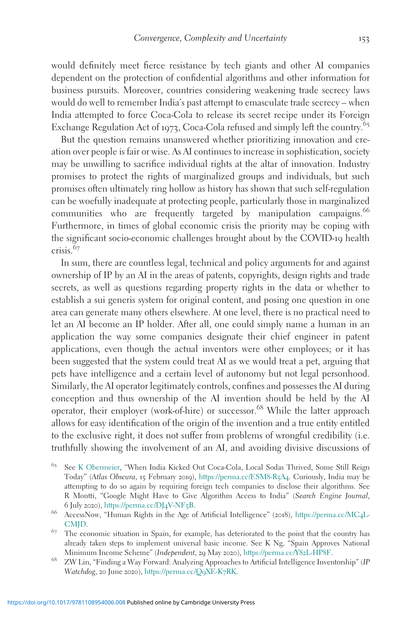would definitely meet fierce resistance by tech giants and other AI companies dependent on the protection of confidential algorithms and other information for business pursuits. Moreover, countries considering weakening trade secrecy laws would do well to remember India's past attempt to emasculate trade secrecy – when India attempted to force Coca-Cola to release its secret recipe under its Foreign Exchange Regulation Act of 1973, Coca-Cola refused and simply left the country.<sup>65</sup>

But the question remains unanswered whether prioritizing innovation and creation over people is fair or wise. As AI continues to increase in sophistication, society may be unwilling to sacrifice individual rights at the altar of innovation. Industry promises to protect the rights of marginalized groups and individuals, but such promises often ultimately ring hollow as history has shown that such self-regulation can be woefully inadequate at protecting people, particularly those in marginalized communities who are frequently targeted by manipulation campaigns.<sup>66</sup> Furthermore, in times of global economic crisis the priority may be coping with the significant socio-economic challenges brought about by the COVID-19 health  $crisis$ <sup>67</sup>

In sum, there are countless legal, technical and policy arguments for and against ownership of IP by an AI in the areas of patents, copyrights, design rights and trade secrets, as well as questions regarding property rights in the data or whether to establish a sui generis system for original content, and posing one question in one area can generate many others elsewhere. At one level, there is no practical need to let an AI become an IP holder. After all, one could simply name a human in an application the way some companies designate their chief engineer in patent applications, even though the actual inventors were other employees; or it has been suggested that the system could treat AI as we would treat a pet, arguing that pets have intelligence and a certain level of autonomy but not legal personhood. Similarly, the AI operator legitimately controls, confines and possesses the AI during conception and thus ownership of the AI invention should be held by the AI operator, their employer (work-of-hire) or successor.<sup>68</sup> While the latter approach allows for easy identification of the origin of the invention and a true entity entitled to the exclusive right, it does not suffer from problems of wrongful credibility (i.e. truthfully showing the involvement of an AI, and avoiding divisive discussions of

<sup>65</sup> See [K Obermeier,](https://www.atlasobscura.com/users/kylieko?view=articles) "When India Kicked Out Coca-Cola, Local Sodas Thrived, Some Still Reign Today" (Atlas Obscura, 15 February 2019), [https://perma.cc/ESM](https://perma.cc/ESM8-R5A4)8-R5A4. Curiously, India may be attempting to do so again by requiring foreign tech companies to disclose their algorithms. See R Montti, "Google Might Have to Give Algorithm Access to India" (Search Engine Journal, 6 July 2020), https://perma.cc/DJ4V-NF5B.

<sup>66</sup> AccessNow, "Human Rights in the Age of Artificial Intelligence" (2018), [https://perma.cc/MC](https://perma.cc/MC4L-CMJD)4L-[CMJD](https://perma.cc/MC4L-CMJD). <sup>67</sup> The economic situation in Spain, for example, has deteriorated to the point that the country has

already taken steps to implement universal basic income. See K Ng, "Spain Approves National Minimum Income Scheme" (*Independent*, 29 May 2020), [https://perma.cc/Y](https://perma.cc/Y82L-HP8F)82L-HP8F.<br><sup>68</sup> ZW Lin, "Finding a Way Forward: Analyzing Approaches to Artificial Intelligence Inventorship" (IP

Watchdog, 20 June 2020), [https://perma.cc/Q](https://perma.cc/Q9XE-K7RK)9XE-K7RK.